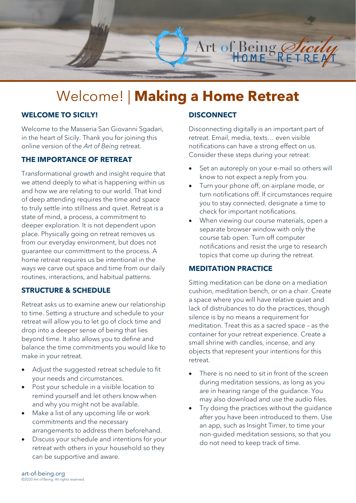

# Welcome! | **Making a Home Retreat**

## **WELCOME TO SICILY!**

Welcome to the Masseria San Giovanni Sgadari, in the heart of Sicily. Thank you for joining this online version of the *Art of Being* retreat.

#### **THE IMPORTANCE OF RETREAT**

Transformational growth and insight require that we attend deeply to what is happening within us and how we are relating to our world. That kind of deep attending requires the time and space to truly settle into stillness and quiet. Retreat is a state of mind, a process, a commitment to deeper exploration. It is not dependent upon place. Physically going on retreat removes us from our everyday environment, but does not guarantee our committment to the process. A home retreat requires us be intentional in the ways we carve out space and time from our daily routines, interactions, and habitual patterns.

#### **STRUCTURE & SCHEDULE**

Retreat asks us to examine anew our relationship to time. Setting a structure and schedule to your retreat will allow you to let go of clock time and drop into a deeper sense of being that lies beyond time. It also allows you to define and balance the time commitments you would like to make in your retreat.

- Adjust the suggested retreat schedule to fit your needs and circumstances.
- Post your schedule in a visible location to remind yourself and let others know when and why you might not be available.
- Make a list of any upcoming life or work commitments and the necessary arrangements to address them beforehand.
- Discuss your schedule and intentions for your retreat with others in your household so they can be supportive and aware.

## **DISCONNECT**

Disconnecting digitally is an important part of retreat. Email, media, texts… even visible notifications can have a strong effect on us. Consider these steps during your retreat:

- Set an autoreply on your e-mail so others will know to not expect a reply from you.
- Turn your phone off, on airplane mode, or turn notifications off. If circumstances require you to stay connected, designate a time to check for important notifications.
- When viewing our course materials, open a separate browser window with only the course tab open. Turn off computer notifications and resist the urge to research topics that come up during the retreat.

## **MEDITATION PRACTICE**

Sitting meditation can be done on a mediation cushion, meditation bench, or on a chair. Create a space where you will have relative quiet and lack of distrubances to do the practices, though silence is by no means a requirement for meditation. Treat this as a sacred space – as the container for your retreat experience. Create a small shrine with candles, incense, and any objects that represent your intentions for this retreat.

- There is no need to sit in front of the screen during meditation sessions, as long as you are in hearing range of the guidance. You may also download and use the audio files.
- Try doing the practices without the quidance after you have been introduced to them. Use an app, such as Insight Timer, to time your non-guided meditation sessions, so that you do not need to keep track of time.